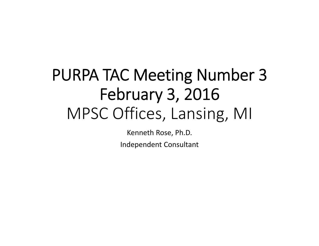# PURPA TAC Meeting Number 3 February 3, 2016 MPSC Offices, Lansing, MI

Kenneth Rose, Ph.D. Independent Consultant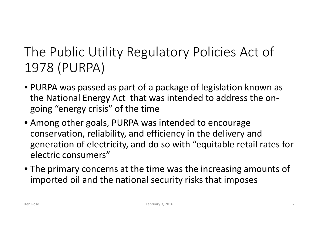#### The Public Utility Regulatory Policies Act of 1978 (PURPA)

- PURPA was passed as part of <sup>a</sup> package of legislation known as the National Energy Act that was intended to address the on‐ going "energy crisis" of the time
- Among other goals, PURPA was intended to encourage conservation, reliability, and efficiency in the delivery and generation of electricity, and do so with "equitable retail rates for electric consumers"
- The primary concerns at the time was the increasing amounts of imported oil and the national security risks that imposes

**Ken Rose**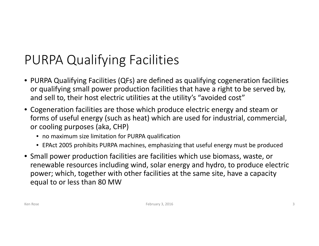## PURPA Qualifying Facilities

- PURPA Qualifying Facilities (QFs) are defined as qualifying cogeneration facilities or qualifying small power production facilities that have <sup>a</sup> right to be served by, and sell to, their host electric utilities at the utility's "avoided cost"
- Cogeneration facilities are those which produce electric energy and steam or forms of useful energy (such as heat) which are used for industrial, commercial, or cooling purposes (aka, CHP)
	- no maximum size limitation for PURPA qualification
	- EPAct 2005 prohibits PURPA machines, emphasizing that useful energy must be produced
- Small power production facilities are facilities which use biomass, waste, or renewable resources including wind, solar energy and hydro, to produce electric power; which, together with other facilities at the same site, have <sup>a</sup> capacity equal to or less than 80 MW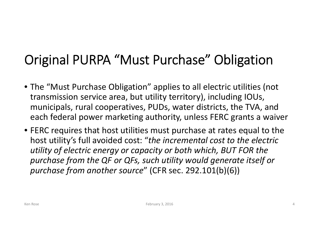# Original PURPA "Must Purchase" Obligation

- The "Must Purchase Obligation" applies to all electric utilities (not transmission service area, but utility territory), including IOUs, municipals, rural cooperatives, PUDs, water districts, the TVA, and each federal power marketing authority, unless FERC grants <sup>a</sup> waiver
- FERC requires that host utilities must purchase at rates equal to the host utility's full avoided cost: "*the incremental cost to the electric utility of electric energy or capacity or both which, BUT FOR the purchase from the QF or QFs, such utility would generate itself or purchase from another source*" (CFR sec. 292.101(b)(6))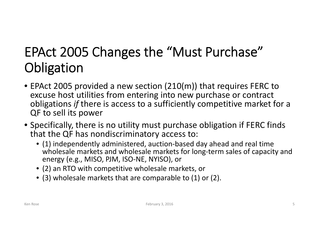## EPAct 2005 Changes the "Must Purchase" **Obligation**

- EPAct 2005 provided <sup>a</sup> new section (210(m)) that requires FERC to excuse host utilities from entering into new purchase or contract obligations *if* there is access to <sup>a</sup> sufficiently competitive market for <sup>a</sup> QF to sell its power
- Specifically, there is no utility must purchase obligation if FERC finds that the QF has nondiscriminatory access to:
	- (1) independently administered, auction‐based day ahead and real time wholesale markets and wholesale markets for long‐term sales of capacity and energy (e.g., MISO, PJM, ISO‐NE, NYISO), or
	- (2) an RTO with competitive wholesale markets, or
	- (3) wholesale markets that are comparable to (1) or (2).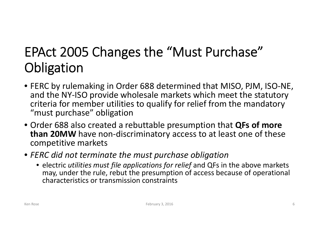## EPAct 2005 Changes the "Must Purchase" **Obligation**

- FERC by rulemaking in Order 688 determined that MISO, PJM, ISO‐NE, and the NY‐ISO provide wholesale markets which meet the statutory criteria for member utilities to qualify for relief from the mandatory "must purchase" obligation
- Order 688 also created <sup>a</sup> rebuttable presumption that **QFs of more than 20MW** have non‐discriminatory access to at least one of these competitive markets
- *FERC did not terminate the must purchase obligation*
	- electric *utilities must file applications for relief* and QFs in the above markets may, under the rule, rebut the presumption of access because of operational characteristics or transmission constraints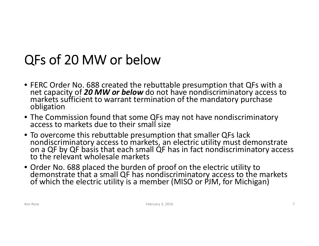## QFs of 20 MW or below

- FERC Order No. 688 created the rebuttable presumption that QFs with <sup>a</sup> net capacity of *20 MW or below* do not have nondiscriminatory access to<br>markets sufficient to warrant termination of the mandatory purchase<br>obligation
- The Commission found that some QFs may not have nondiscriminatory access to markets due to their small size
- Tonondiscriminatory access to markets, an electric utility must demonstrate on <sup>a</sup> QF by QF basis that each small QF has in fact nondiscriminatory access to the relevant wholesale markets
- Order No. 688 placed the burden of proof on the electric utility to demonstratedemonstrate that a small QF has nondiscriminatory access to the markets<br>of which the electric utility is a member (MISO or PJM, for Michigan)

**Ken Rose**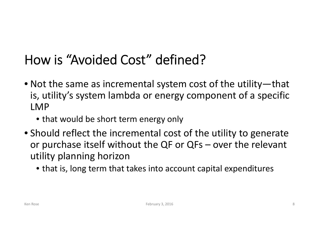#### How is "Avoided Cost" defined?

- Not the same as incremental system cost of the utility—that is, utility's system lambda or energy component of <sup>a</sup> specific LMP
	- that would be short term energy only
- Should reflect the incremental cost of the utility to generate or purchase itself without the QF or QFs – over the relevant utility planning horizon
	- that is, long term that takes into account capital expenditures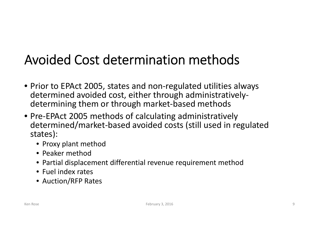## Avoided Cost determination methods

- Prior to EPAct 2005, states and non‐regulated utilities always determined avoided cost, either through administratively‐ determining them or through market‐based methods
- Pre‐EPAct 2005 methods of calculating administratively determined/market‐based avoided costs (still used in regulated states):
	- Proxy plant method
	- Peaker method
	- Partial displacement differential revenue requirement method
	- Fuel index rates
	- Auction/RFP Rates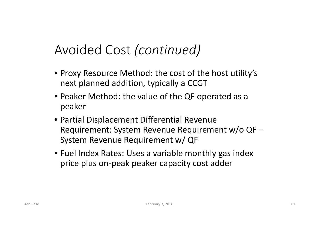#### Avoided Cost *(continued)*

- Proxy Resource Method: the cost of the host utility's next planned addition, typically <sup>a</sup> CCGT
- Peaker Method: the value of the QF operated as <sup>a</sup> peaker
- Partial Displacement Differential Revenue Requirement: System Revenue Requirement w/o QF – System Revenue Requirement w/ QF
- Fuel Index Rates: Uses a variable monthly gas index price plus on‐peak peaker capacity cost adder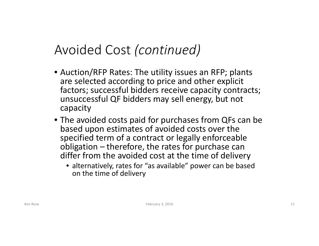#### Avoided Cost *(continued)*

- Auction/RFP Rates: The utility issues an RFP; plants are selected according to price and other explicit factors; successful bidders receive capacity contracts; unsuccessful QF bidders may sell energy, but not capacity
- The avoided costs paid for purchases from QFs can be based upon estimates of avoided costs over the specified term of <sup>a</sup> contract or legally enforceable obligation – therefore, the rates for purchase can differ from the avoided cost at the time of delivery
	- alternatively, rates for "as available" power can be based on the time of delivery